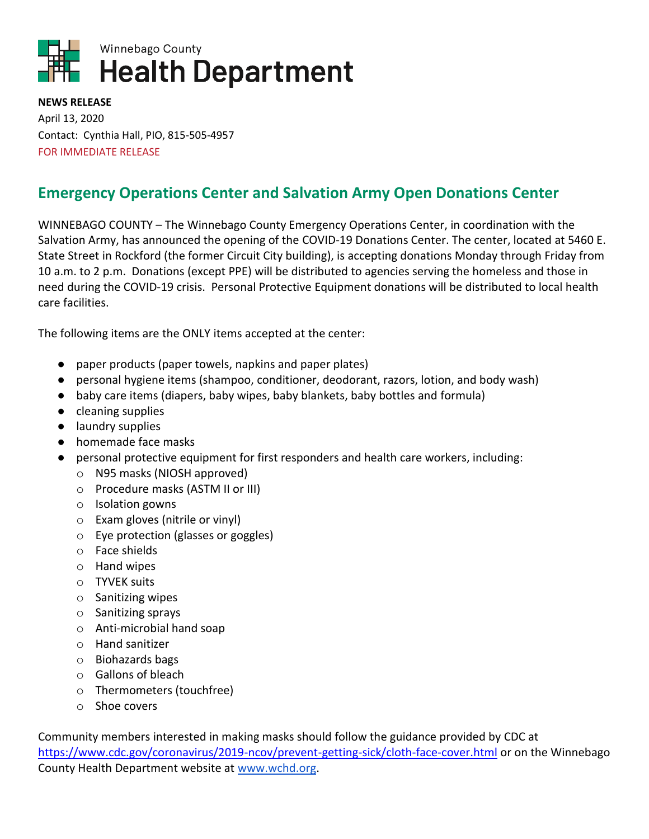

**NEWS RELEASE** April 13, 2020 Contact: Cynthia Hall, PIO, 815-505-4957 FOR IMMEDIATE RELEASE

## **Emergency Operations Center and Salvation Army Open Donations Center**

WINNEBAGO COUNTY – The Winnebago County Emergency Operations Center, in coordination with the Salvation Army, has announced the opening of the COVID-19 Donations Center. The center, located at 5460 E. State Street in Rockford (the former Circuit City building), is accepting donations Monday through Friday from 10 a.m. to 2 p.m. Donations (except PPE) will be distributed to agencies serving the homeless and those in need during the COVID-19 crisis. Personal Protective Equipment donations will be distributed to local health care facilities.

The following items are the ONLY items accepted at the center:

- paper products (paper towels, napkins and paper plates)
- personal hygiene items (shampoo, conditioner, deodorant, razors, lotion, and body wash)
- baby care items (diapers, baby wipes, baby blankets, baby bottles and formula)
- cleaning supplies
- laundry supplies
- homemade face masks
- personal protective equipment for first responders and health care workers, including:
	- o N95 masks (NIOSH approved)
	- o Procedure masks (ASTM II or III)
	- o Isolation gowns
	- o Exam gloves (nitrile or vinyl)
	- o Eye protection (glasses or goggles)
	- o Face shields
	- o Hand wipes
	- o TYVEK suits
	- o Sanitizing wipes
	- o Sanitizing sprays
	- o Anti-microbial hand soap
	- o Hand sanitizer
	- o Biohazards bags
	- o Gallons of bleach
	- o Thermometers (touchfree)
	- o Shoe covers

Community members interested in making masks should follow the guidance provided by CDC at <https://www.cdc.gov/coronavirus/2019-ncov/prevent-getting-sick/cloth-face-cover.html> or on the Winnebago County Health Department website at [www.wchd.org.](http://www.wchd.org/)